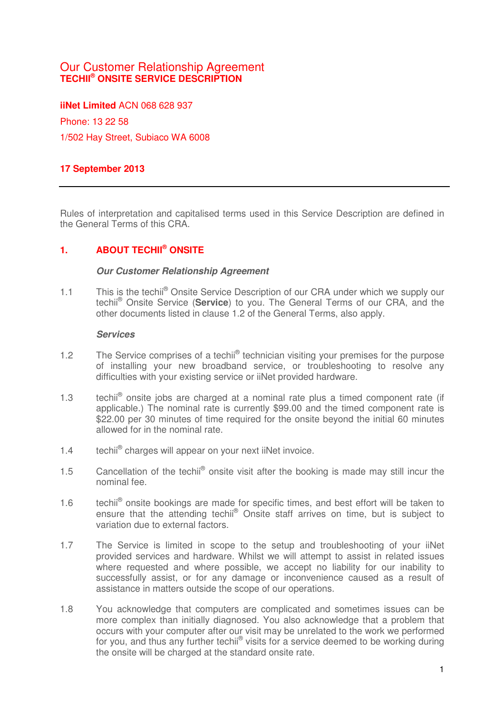# Our Customer Relationship Agreement **TECHII® ONSITE SERVICE DESCRIPTION**

**iiNet Limited** ACN 068 628 937 Phone: 13 22 58 1/502 Hay Street, Subiaco WA 6008

### **17 September 2013**

Rules of interpretation and capitalised terms used in this Service Description are defined in the General Terms of this CRA.

### **1. ABOUT TECHII® ONSITE**

#### **Our Customer Relationship Agreement**

1.1 This is the techii<sup>®</sup> Onsite Service Description of our CRA under which we supply our techii® Onsite Service (**Service**) to you. The General Terms of our CRA, and the other documents listed in clause 1.2 of the General Terms, also apply.

#### **Services**

- 1.2 The Service comprises of a techii<sup>®</sup> technician visiting your premises for the purpose of installing your new broadband service, or troubleshooting to resolve any difficulties with your existing service or iiNet provided hardware.
- 1.3 techii<sup>®</sup> onsite jobs are charged at a nominal rate plus a timed component rate (if applicable.) The nominal rate is currently \$99.00 and the timed component rate is \$22.00 per 30 minutes of time required for the onsite beyond the initial 60 minutes allowed for in the nominal rate.
- 1.4 techii<sup>®</sup> charges will appear on your next iiNet invoice.
- 1.5 Cancellation of the techii<sup>®</sup> onsite visit after the booking is made may still incur the nominal fee.
- 1.6 techii<sup>®</sup> onsite bookings are made for specific times, and best effort will be taken to ensure that the attending techii<sup>®</sup> Onsite staff arrives on time, but is subject to variation due to external factors.
- 1.7 The Service is limited in scope to the setup and troubleshooting of your iiNet provided services and hardware. Whilst we will attempt to assist in related issues where requested and where possible, we accept no liability for our inability to successfully assist, or for any damage or inconvenience caused as a result of assistance in matters outside the scope of our operations.
- 1.8 You acknowledge that computers are complicated and sometimes issues can be more complex than initially diagnosed. You also acknowledge that a problem that occurs with your computer after our visit may be unrelated to the work we performed for you, and thus any further techil® visits for a service deemed to be working during the onsite will be charged at the standard onsite rate.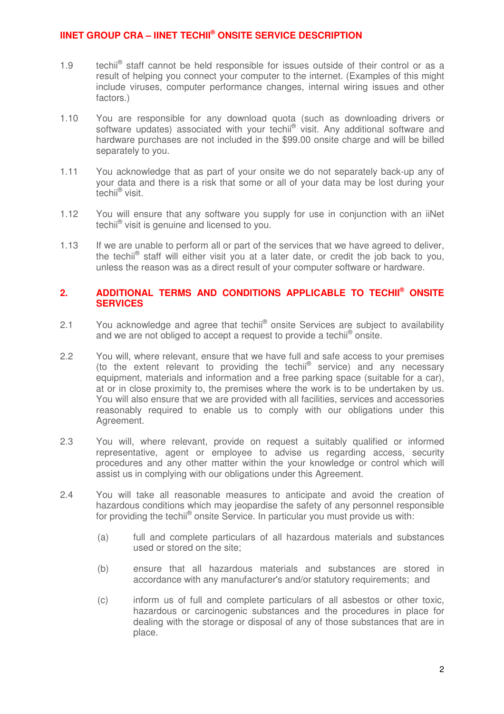### **IINET GROUP CRA – IINET TECHII® ONSITE SERVICE DESCRIPTION**

- 1.9 techii<sup>®</sup> staff cannot be held responsible for issues outside of their control or as a result of helping you connect your computer to the internet. (Examples of this might include viruses, computer performance changes, internal wiring issues and other factors.)
- 1.10 You are responsible for any download quota (such as downloading drivers or software updates) associated with your techii® visit. Any additional software and hardware purchases are not included in the \$99.00 onsite charge and will be billed separately to you.
- 1.11 You acknowledge that as part of your onsite we do not separately back-up any of your data and there is a risk that some or all of your data may be lost during your techii® visit.
- 1.12 You will ensure that any software you supply for use in conjunction with an iiNet techii<sup>®</sup> visit is genuine and licensed to you.
- 1.13 If we are unable to perform all or part of the services that we have agreed to deliver, the techii<sup>®</sup> staff will either visit you at a later date, or credit the job back to you, unless the reason was as a direct result of your computer software or hardware.

### **2. ADDITIONAL TERMS AND CONDITIONS APPLICABLE TO TECHII® ONSITE SERVICES**

- 2.1 You acknowledge and agree that techii<sup>®</sup> onsite Services are subject to availability and we are not obliged to accept a request to provide a techii<sup>®</sup> onsite.
- 2.2 You will, where relevant, ensure that we have full and safe access to your premises (to the extent relevant to providing the techii® service) and any necessary equipment, materials and information and a free parking space (suitable for a car), at or in close proximity to, the premises where the work is to be undertaken by us. You will also ensure that we are provided with all facilities, services and accessories reasonably required to enable us to comply with our obligations under this Agreement.
- 2.3 You will, where relevant, provide on request a suitably qualified or informed representative, agent or employee to advise us regarding access, security procedures and any other matter within the your knowledge or control which will assist us in complying with our obligations under this Agreement.
- 2.4 You will take all reasonable measures to anticipate and avoid the creation of hazardous conditions which may jeopardise the safety of any personnel responsible for providing the techii® onsite Service. In particular you must provide us with:
	- (a) full and complete particulars of all hazardous materials and substances used or stored on the site;
	- (b) ensure that all hazardous materials and substances are stored in accordance with any manufacturer's and/or statutory requirements; and
	- (c) inform us of full and complete particulars of all asbestos or other toxic, hazardous or carcinogenic substances and the procedures in place for dealing with the storage or disposal of any of those substances that are in place.